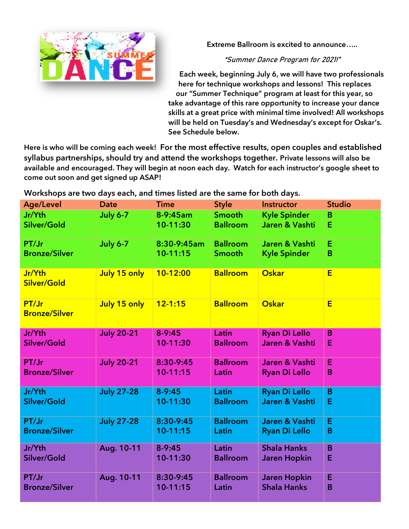

**Extreme Ballroom is excited to announce…..**

**"Summer Dance Program for 2021!"**

**Each week, beginning July 6, we will have two professionals here for technique workshops and lessons! This replaces our "Summer Technique" program at least for this year, so take advantage of this rare opportunity to increase your dance skills at a great price with minimal time involved! All workshops will be held on Tuesday's and Wednesday's except for Oskar's. See Schedule below.** 

**Here is who will be coming each week!** For the most effective results, open couples and established syllabus partnerships, should try and attend the workshops together. **Private lessons will also be available and encouraged. They will begin at noon each day. Watch for each instructor's google sheet to come out soon and get signed up ASAP!**

Workshops are two days each, and times listed are the same for both days.

| <b>Age/Level</b>              | <b>Date</b>       | <b>Time</b>  | <b>Style</b>    | <b>Instructor</b>    | <b>Studio</b> |
|-------------------------------|-------------------|--------------|-----------------|----------------------|---------------|
| Jr/Yth                        | <b>July 6-7</b>   | 8-9:45am     | <b>Smooth</b>   | <b>Kyle Spinder</b>  | B             |
| Silver/Gold                   |                   | 10-11:30     | <b>Ballroom</b> | Jaren & Vashti       | E             |
| PT/Jr                         | <b>July 6-7</b>   | 8:30-9:45am  | <b>Ballroom</b> | Jaren & Vashti       | E             |
| <b>Bronze/Silver</b>          |                   | $10-11:15$   | <b>Smooth</b>   | <b>Kyle Spinder</b>  | B             |
| Jr/Yth<br>Silver/Gold         | July 15 only      | 10-12:00     | <b>Ballroom</b> | <b>Oskar</b>         | E             |
| PT/Jr<br><b>Bronze/Silver</b> | July 15 only      | $12 - 1:15$  | <b>Ballroom</b> | Oskar                | E             |
| Jr/Yth                        | <b>July 20-21</b> | $8-9:45$     | Latin           | <b>Ryan Di Lello</b> | B             |
| Silver/Gold                   |                   | 10-11:30     | <b>Ballroom</b> | Jaren & Vashti       | E             |
| PT/Jr                         | <b>July 20-21</b> | 8:30-9:45    | <b>Ballroom</b> | Jaren & Vashti       | E             |
| <b>Bronze/Silver</b>          |                   | $10 - 11:15$ | Latin           | <b>Ryan Di Lello</b> | B             |
| Jr/Yth                        | <b>July 27-28</b> | $8 - 9:45$   | Latin           | <b>Ryan Di Lello</b> | B             |
| Silver/Gold                   |                   | 10-11:30     | <b>Ballroom</b> | Jaren & Vashti       | Ε             |
| PT/Jr                         | <b>July 27-28</b> | 8:30-9:45    | <b>Ballroom</b> | Jaren & Vashti       | E             |
| <b>Bronze/Silver</b>          |                   | 10-11:15     | Latin           | <b>Ryan Di Lello</b> | B             |
| Jr/Yth                        | Aug. 10-11        | $8 - 9:45$   | Latin           | <b>Shala Hanks</b>   | B             |
| Silver/Gold                   |                   | 10-11:30     | <b>Ballroom</b> | <b>Jaren Hopkin</b>  | Е             |
| PT/Jr                         | Aug. 10-11        | 8:30-9:45    | <b>Ballroom</b> | <b>Jaren Hopkin</b>  | E             |
| <b>Bronze/Silver</b>          |                   | $10 - 11:15$ | Latin           | <b>Shala Hanks</b>   | B             |